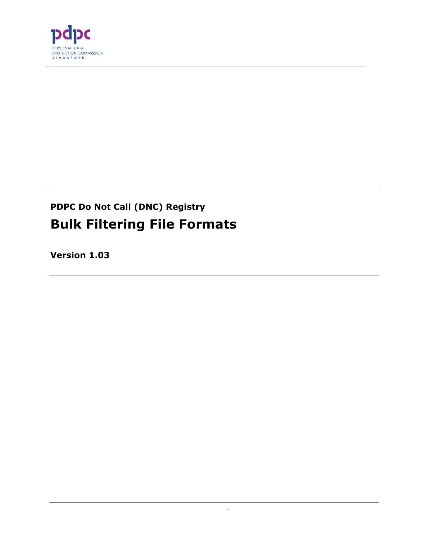

# **PDPC Do Not Call (DNC) Registry Bulk Filtering File Formats**

.

**Version 1.03**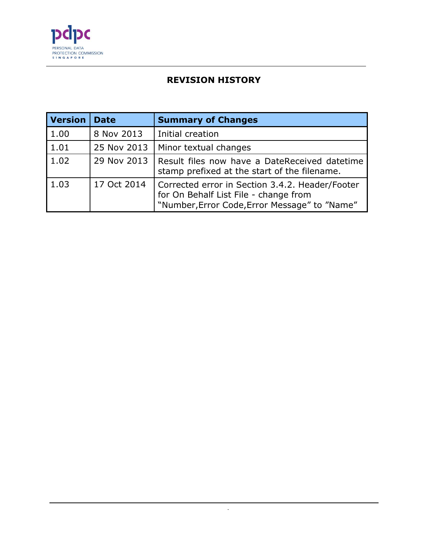

# **REVISION HISTORY**

| <b>Version</b> | <b>Date</b> | <b>Summary of Changes</b>                                                                                                                 |
|----------------|-------------|-------------------------------------------------------------------------------------------------------------------------------------------|
| 1.00           | 8 Nov 2013  | Initial creation                                                                                                                          |
| 1.01           | 25 Nov 2013 | Minor textual changes                                                                                                                     |
| 1.02           | 29 Nov 2013 | Result files now have a DateReceived datetime<br>stamp prefixed at the start of the filename.                                             |
| 1.03           | 17 Oct 2014 | Corrected error in Section 3.4.2. Header/Footer<br>for On Behalf List File - change from<br>"Number, Error Code, Error Message" to "Name" |

.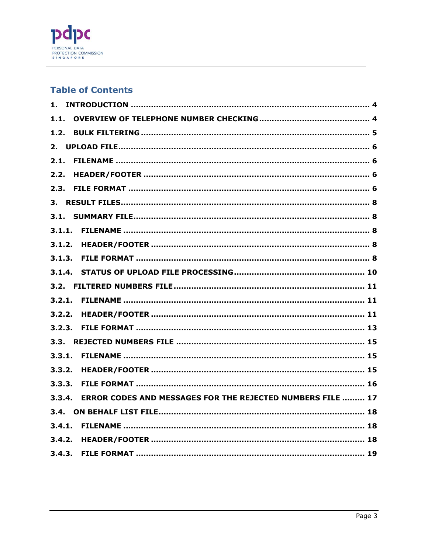

## **Table of Contents**

| $1$ .  |                                                            |
|--------|------------------------------------------------------------|
| 1.1.   |                                                            |
| 1.2.   |                                                            |
|        |                                                            |
|        |                                                            |
| 2.2.   |                                                            |
|        |                                                            |
|        |                                                            |
|        |                                                            |
|        |                                                            |
|        |                                                            |
|        |                                                            |
|        |                                                            |
|        |                                                            |
|        |                                                            |
|        |                                                            |
|        |                                                            |
|        |                                                            |
|        |                                                            |
|        |                                                            |
|        |                                                            |
| 3.3.3. |                                                            |
| 3.3.4. | ERROR CODES AND MESSAGES FOR THE REJECTED NUMBERS FILE  17 |
|        |                                                            |
|        |                                                            |
|        |                                                            |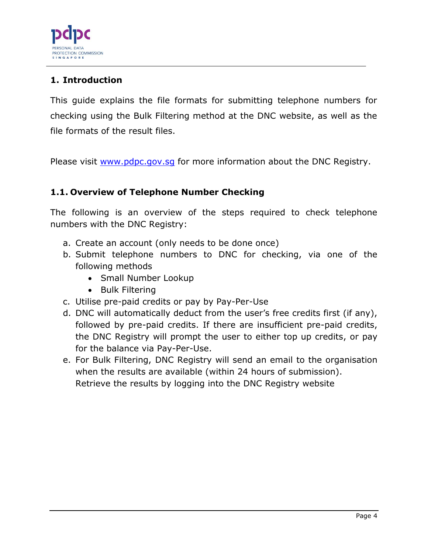

# <span id="page-3-0"></span>**1. Introduction**

This guide explains the file formats for submitting telephone numbers for checking using the Bulk Filtering method at the DNC website, as well as the file formats of the result files.

Please visit [www.pdpc.gov.sg](http://www.pdpc.gov.sg/) for more information about the DNC Registry.

# <span id="page-3-1"></span>**1.1. Overview of Telephone Number Checking**

The following is an overview of the steps required to check telephone numbers with the DNC Registry:

- a. Create an account (only needs to be done once)
- b. Submit telephone numbers to DNC for checking, via one of the following methods
	- Small Number Lookup
	- Bulk Filtering
- c. Utilise pre-paid credits or pay by Pay-Per-Use
- d. DNC will automatically deduct from the user's free credits first (if any), followed by pre-paid credits. If there are insufficient pre-paid credits, the DNC Registry will prompt the user to either top up credits, or pay for the balance via Pay-Per-Use.
- e. For Bulk Filtering, DNC Registry will send an email to the organisation when the results are available (within 24 hours of submission). Retrieve the results by logging into the DNC Registry website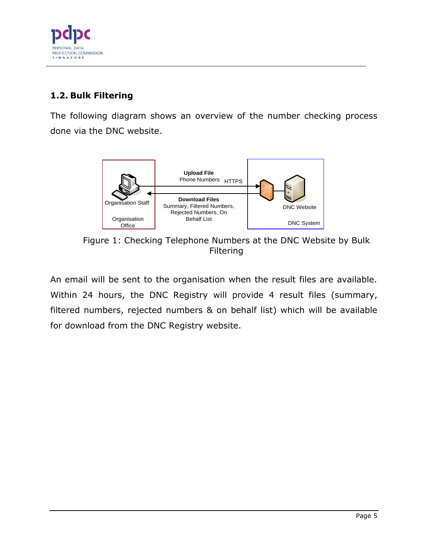

# <span id="page-4-0"></span>**1.2. Bulk Filtering**

The following diagram shows an overview of the number checking process done via the DNC website.



Figure 1: Checking Telephone Numbers at the DNC Website by Bulk **Filtering** 

An email will be sent to the organisation when the result files are available. Within 24 hours, the DNC Registry will provide 4 result files (summary, filtered numbers, rejected numbers & on behalf list) which will be available for download from the DNC Registry website.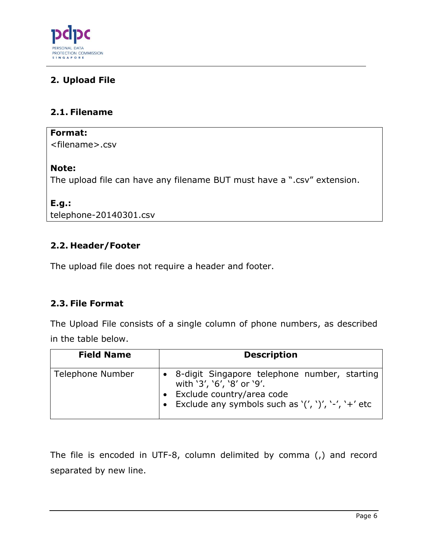

# <span id="page-5-0"></span>**2. Upload File**

## <span id="page-5-1"></span>**2.1. Filename**

#### **Format:**

<filename>.csv

#### **Note:**

The upload file can have any filename BUT must have a ".csv" extension.

## **E.g.:**

telephone-20140301.csv

# <span id="page-5-2"></span>**2.2. Header/Footer**

The upload file does not require a header and footer.

# <span id="page-5-3"></span>**2.3. File Format**

The Upload File consists of a single column of phone numbers, as described in the table below.

| <b>Field Name</b> | <b>Description</b>                                                                                                                                                     |
|-------------------|------------------------------------------------------------------------------------------------------------------------------------------------------------------------|
| Telephone Number  | • 8-digit Singapore telephone number, starting<br>with '3', '6', '8' or '9'.<br>· Exclude country/area code<br>• Exclude any symbols such as $'(', ')', '-'', '+'$ etc |

The file is encoded in UTF-8, column delimited by comma (,) and record separated by new line.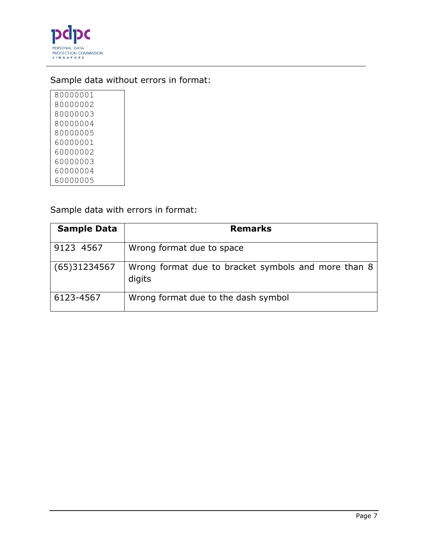

# Sample data without errors in format:

Sample data with errors in format:

| <b>Sample Data</b> | <b>Remarks</b>                                                |
|--------------------|---------------------------------------------------------------|
| 9123 4567          | Wrong format due to space                                     |
| (65)31234567       | Wrong format due to bracket symbols and more than 8<br>digits |
| 6123-4567          | Wrong format due to the dash symbol                           |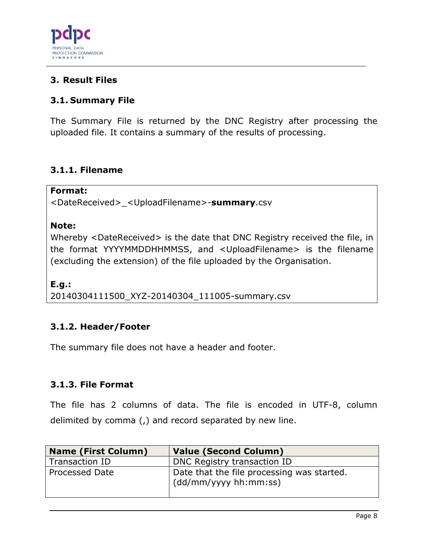

# <span id="page-7-0"></span>**3. Result Files**

# <span id="page-7-1"></span>**3.1. Summary File**

The Summary File is returned by the DNC Registry after processing the uploaded file. It contains a summary of the results of processing.

## <span id="page-7-2"></span>**3.1.1. Filename**

#### **Format:**

<DateReceived>\_<UploadFilename>-**summary**.csv

#### **Note:**

Whereby <DateReceived> is the date that DNC Registry received the file, in the format YYYYMMDDHHMMSS, and <UploadFilename> is the filename (excluding the extension) of the file uploaded by the Organisation.

**E.g.:**  20140304111500\_XYZ-20140304\_111005-summary.csv

# <span id="page-7-3"></span>**3.1.2. Header/Footer**

The summary file does not have a header and footer.

#### <span id="page-7-4"></span>**3.1.3. File Format**

The file has 2 columns of data. The file is encoded in UTF-8, column delimited by comma (,) and record separated by new line.

| <b>Name (First Column)</b> | <b>Value (Second Column)</b>                                               |
|----------------------------|----------------------------------------------------------------------------|
| Transaction ID             | DNC Registry transaction ID                                                |
| Processed Date             | Date that the file processing was started.<br>$\mid$ (dd/mm/yyyy hh:mm:ss) |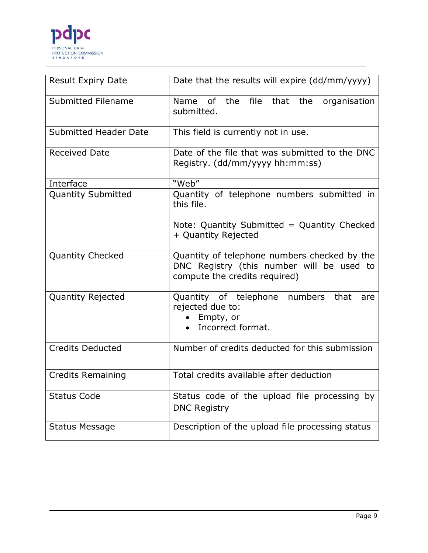

| <b>Result Expiry Date</b>    | Date that the results will expire (dd/mm/yyyy)                                                                             |
|------------------------------|----------------------------------------------------------------------------------------------------------------------------|
| Submitted Filename           | of the<br>file<br>Name<br>that<br>the<br>organisation<br>submitted.                                                        |
| <b>Submitted Header Date</b> | This field is currently not in use.                                                                                        |
| <b>Received Date</b>         | Date of the file that was submitted to the DNC<br>Registry. (dd/mm/yyyy hh:mm:ss)                                          |
| Interface                    | "Web"                                                                                                                      |
| Quantity Submitted           | Quantity of telephone numbers submitted in<br>this file.                                                                   |
|                              | Note: Quantity Submitted = Quantity Checked<br>+ Quantity Rejected                                                         |
| <b>Quantity Checked</b>      | Quantity of telephone numbers checked by the<br>DNC Registry (this number will be used to<br>compute the credits required) |
| <b>Quantity Rejected</b>     | Quantity of telephone numbers<br>that<br>are<br>rejected due to:<br>Empty, or<br>Incorrect format.                         |
| <b>Credits Deducted</b>      | Number of credits deducted for this submission                                                                             |
| <b>Credits Remaining</b>     | Total credits available after deduction                                                                                    |
| <b>Status Code</b>           | Status code of the upload file processing by<br><b>DNC Registry</b>                                                        |
| <b>Status Message</b>        | Description of the upload file processing status                                                                           |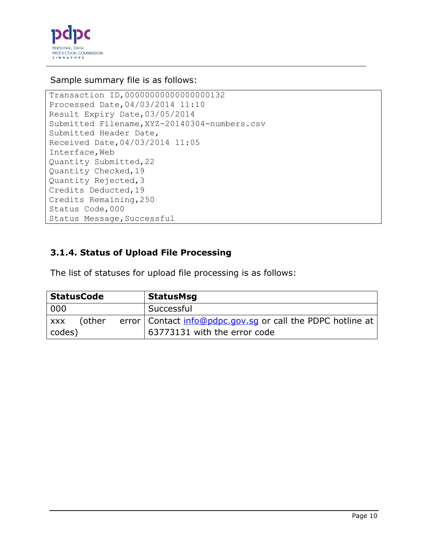

#### Sample summary file is as follows:

```
Transaction ID,00000000000000000132
Processed Date,04/03/2014 11:10
Result Expiry Date,03/05/2014
Submitted Filename,XYZ-20140304-numbers.csv
Submitted Header Date,
Received Date,04/03/2014 11:05
Interface,Web
Quantity Submitted,22
Quantity Checked,19
Quantity Rejected,3
Credits Deducted,19
Credits Remaining,250
Status Code,000
Status Message, Successful
```
# <span id="page-9-0"></span>**3.1.4. Status of Upload File Processing**

The list of statuses for upload file processing is as follows:

| <b>StatusCode</b>    | <b>StatusMsg</b>                                             |
|----------------------|--------------------------------------------------------------|
| 000                  | Successful                                                   |
| (other<br><b>XXX</b> | error   Contact info@pdpc.gov.sg or call the PDPC hotline at |
| codes)               | 63773131 with the error code                                 |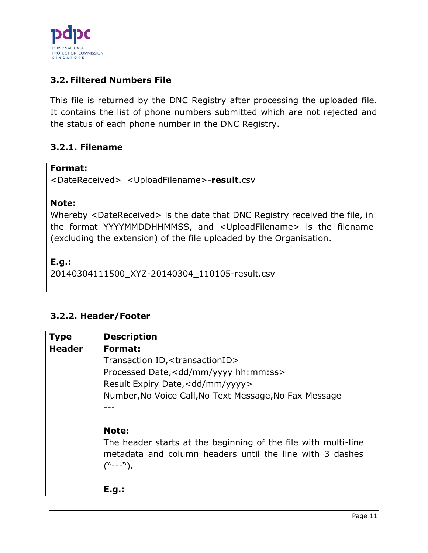

# <span id="page-10-0"></span>**3.2. Filtered Numbers File**

This file is returned by the DNC Registry after processing the uploaded file. It contains the list of phone numbers submitted which are not rejected and the status of each phone number in the DNC Registry.

# <span id="page-10-1"></span>**3.2.1. Filename**

#### **Format:**

<DateReceived>\_<UploadFilename>-**result**.csv

## **Note:**

Whereby <DateReceived> is the date that DNC Registry received the file, in the format YYYYMMDDHHMMSS, and <UploadFilename> is the filename (excluding the extension) of the file uploaded by the Organisation.

**E.g.:**

20140304111500\_XYZ-20140304\_110105-result.csv

# <span id="page-10-2"></span>**3.2.2. Header/Footer**

| <b>Type</b>   | <b>Description</b>                                             |
|---------------|----------------------------------------------------------------|
| <b>Header</b> | Format:                                                        |
|               | Transaction ID, < transactionID>                               |
|               | Processed Date, <dd hh:mm:ss="" mm="" yyyy=""></dd>            |
|               | Result Expiry Date, < dd/mm/yyyy>                              |
|               | Number, No Voice Call, No Text Message, No Fax Message         |
|               |                                                                |
|               |                                                                |
|               | Note:                                                          |
|               | The header starts at the beginning of the file with multi-line |
|               | metadata and column headers until the line with 3 dashes       |
|               | $("---")$ .                                                    |
|               |                                                                |
|               | E.g.:                                                          |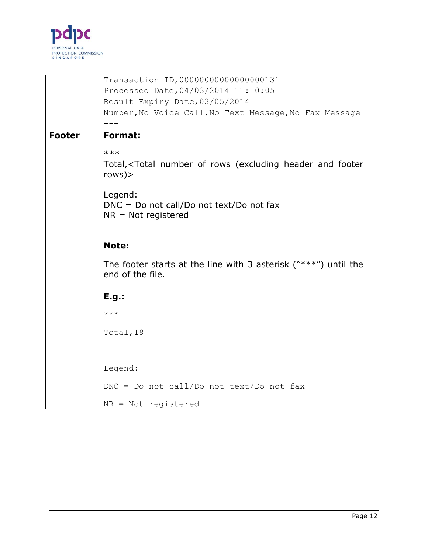

|               | Transaction ID, 00000000000000000131                                                            |
|---------------|-------------------------------------------------------------------------------------------------|
|               | Processed Date, 04/03/2014 11:10:05                                                             |
|               | Result Expiry Date, 03/05/2014                                                                  |
|               | Number, No Voice Call, No Text Message, No Fax Message                                          |
|               |                                                                                                 |
| <b>Footer</b> | <b>Format:</b>                                                                                  |
|               | $***$                                                                                           |
|               | Total, <total (excluding="" and="" footer<br="" header="" number="" of="" rows="">rows)</total> |
|               | Legend:<br>$DNC = Do$ not call/Do not text/Do not fax<br>$NR = Not$ registered                  |
|               | <b>Note:</b>                                                                                    |
|               | The footer starts at the line with 3 asterisk (" $***'$ ") until the<br>end of the file.        |
|               | E.g.:                                                                                           |
|               | $***$                                                                                           |
|               | Total, 19                                                                                       |
|               |                                                                                                 |
|               | Legend:                                                                                         |
|               | $DNC = Do$ not call/Do not text/Do not fax                                                      |
|               | NR = Not registered                                                                             |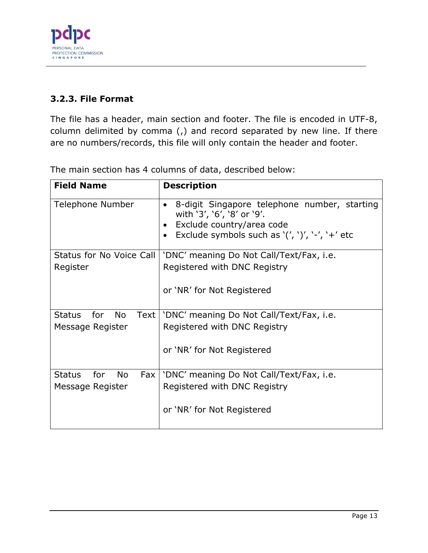

# <span id="page-12-0"></span>**3.2.3. File Format**

The file has a header, main section and footer. The file is encoded in UTF-8, column delimited by comma (,) and record separated by new line. If there are no numbers/records, this file will only contain the header and footer.

| <b>Field Name</b>                          | <b>Description</b>                                                                                                                                                                      |
|--------------------------------------------|-----------------------------------------------------------------------------------------------------------------------------------------------------------------------------------------|
| Telephone Number                           | 8-digit Singapore telephone number, starting<br>$\bullet$<br>with '3', '6', '8' or '9'.<br>Exclude country/area code<br>Exclude symbols such as ' $(', ')', '-'', '+'$ etc<br>$\bullet$ |
| Status for No Voice Call                   | 'DNC' meaning Do Not Call/Text/Fax, i.e.                                                                                                                                                |
| Register                                   | Registered with DNC Registry                                                                                                                                                            |
|                                            | or 'NR' for Not Registered                                                                                                                                                              |
| Status for<br>Text  <br><b>No</b>          | 'DNC' meaning Do Not Call/Text/Fax, i.e.                                                                                                                                                |
| Message Register                           | Registered with DNC Registry                                                                                                                                                            |
|                                            | or 'NR' for Not Registered                                                                                                                                                              |
| for<br><b>Status</b><br><b>No</b><br>Fax I | 'DNC' meaning Do Not Call/Text/Fax, i.e.                                                                                                                                                |
| Message Register                           | Registered with DNC Registry                                                                                                                                                            |
|                                            | or 'NR' for Not Registered                                                                                                                                                              |

The main section has 4 columns of data, described below: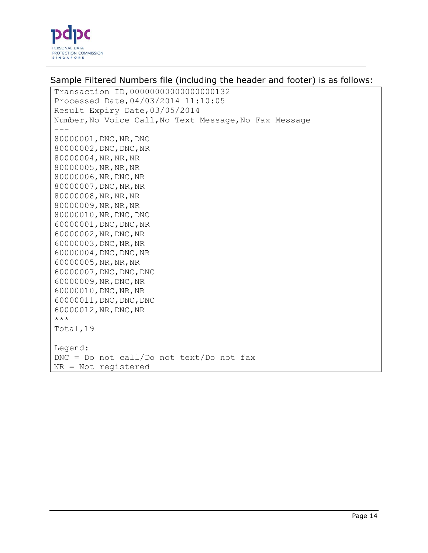

Sample Filtered Numbers file (including the header and footer) is as follows:

Transaction ID,00000000000000000132 Processed Date,04/03/2014 11:10:05 Result Expiry Date,03/05/2014 Number,No Voice Call,No Text Message,No Fax Message  $---$ 80000001,DNC,NR,DNC 80000002,DNC,DNC,NR 80000004,NR,NR,NR 80000005,NR,NR,NR 80000006,NR,DNC,NR 80000007,DNC,NR,NR 80000008,NR,NR,NR 80000009,NR,NR,NR 80000010,NR,DNC,DNC 60000001,DNC,DNC,NR 60000002,NR,DNC,NR 60000003,DNC,NR,NR 60000004,DNC,DNC,NR 60000005,NR,NR,NR 60000007,DNC,DNC,DNC 60000009,NR,DNC,NR 60000010,DNC,NR,NR 60000011,DNC,DNC,DNC 60000012,NR,DNC,NR  $\star\star\star$ Total,19 Legend: DNC = Do not call/Do not text/Do not fax NR = Not registered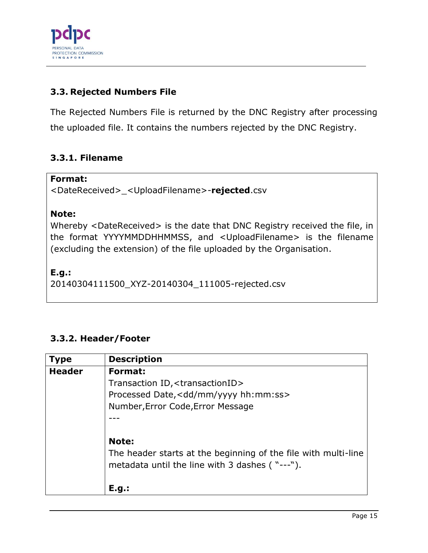

# <span id="page-14-0"></span>**3.3. Rejected Numbers File**

The Rejected Numbers File is returned by the DNC Registry after processing the uploaded file. It contains the numbers rejected by the DNC Registry.

# <span id="page-14-1"></span>**3.3.1. Filename**

#### **Format:**

<DateReceived>\_<UploadFilename>-**rejected**.csv

## **Note:**

Whereby <DateReceived> is the date that DNC Registry received the file, in the format YYYYMMDDHHMMSS, and <UploadFilename> is the filename (excluding the extension) of the file uploaded by the Organisation.

## **E.g.:**

20140304111500\_XYZ-20140304\_111005-rejected.csv

# <span id="page-14-2"></span>**3.3.2. Header/Footer**

| <b>Type</b>   | <b>Description</b>                                                                                               |
|---------------|------------------------------------------------------------------------------------------------------------------|
| <b>Header</b> | Format:                                                                                                          |
|               | Transaction ID, < transactionID>                                                                                 |
|               | Processed Date, < dd/mm/yyyy hh: mm: ss>                                                                         |
|               | Number, Error Code, Error Message                                                                                |
|               |                                                                                                                  |
|               |                                                                                                                  |
|               | Note:                                                                                                            |
|               | The header starts at the beginning of the file with multi-line<br>metadata until the line with 3 dashes ("---"). |
|               | E.g.:                                                                                                            |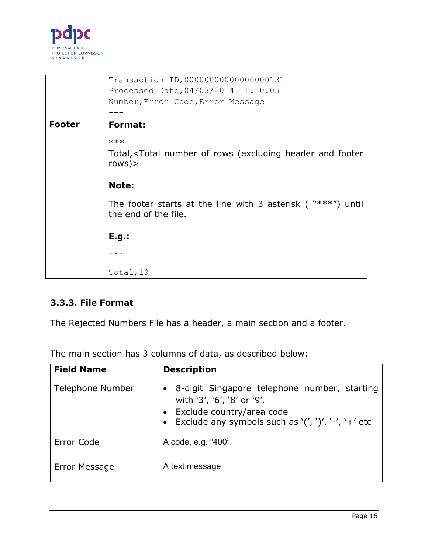

|               | Transaction ID, 00000000000000000131                                                            |
|---------------|-------------------------------------------------------------------------------------------------|
|               | Processed Date, 04/03/2014 11:10:05                                                             |
|               | Number, Error Code, Error Message                                                               |
|               |                                                                                                 |
| <b>Footer</b> | Format:                                                                                         |
|               | $***$                                                                                           |
|               | Total, <total (excluding="" and="" footer<br="" header="" number="" of="" rows="">rows)</total> |
|               | Note:                                                                                           |
|               | The footer starts at the line with 3 asterisk ( $***$ ")<br>until<br>the end of the file.       |
|               | E.g.:                                                                                           |
|               | $***$                                                                                           |
|               | Total, 19                                                                                       |

# <span id="page-15-0"></span>**3.3.3. File Format**

The Rejected Numbers File has a header, a main section and a footer.

The main section has 3 columns of data, as described below:

| <b>Field Name</b> | <b>Description</b>                                                                                                                                            |
|-------------------|---------------------------------------------------------------------------------------------------------------------------------------------------------------|
| Telephone Number  | 8-digit Singapore telephone number, starting<br>with '3', '6', '8' or '9'.<br>Exclude country/area code<br>Exclude any symbols such as '(', ')', '-', '+' etc |
| Error Code        | A code, e.g. "400".                                                                                                                                           |
| Error Message     | A text message                                                                                                                                                |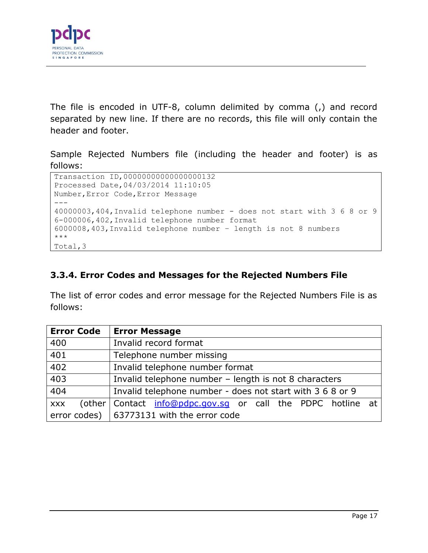

The file is encoded in UTF-8, column delimited by comma (,) and record separated by new line. If there are no records, this file will only contain the header and footer.

Sample Rejected Numbers file (including the header and footer) is as follows:

```
Transaction ID,00000000000000000132
Processed Date,04/03/2014 11:10:05
Number,Error Code,Error Message
---
40000003,404,Invalid telephone number - does not start with 3 6 8 or 9
6-000006,402,Invalid telephone number format
6000008,403,Invalid telephone number – length is not 8 numbers
***
Total,3
```
# <span id="page-16-0"></span>**3.3.4. Error Codes and Messages for the Rejected Numbers File**

The list of error codes and error message for the Rejected Numbers File is as follows:

| <b>Error Code</b> | <b>Error Message</b>                                        |
|-------------------|-------------------------------------------------------------|
| 400               | Invalid record format                                       |
| 401               | Telephone number missing                                    |
| 402               | Invalid telephone number format                             |
| 403               | Invalid telephone number - length is not 8 characters       |
| $\overline{404}$  | Invalid telephone number - does not start with 3 6 8 or 9   |
| <b>XXX</b>        | (other Contact info@pdpc.gov.sq or call the PDPC hotline at |
|                   | error codes) $\vert$ 63773131 with the error code           |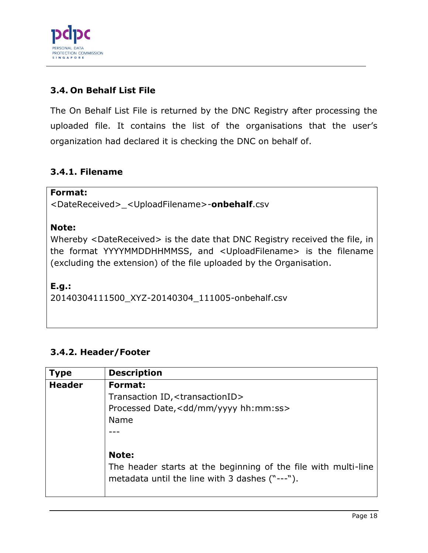

# <span id="page-17-0"></span>**3.4. On Behalf List File**

The On Behalf List File is returned by the DNC Registry after processing the uploaded file. It contains the list of the organisations that the user's organization had declared it is checking the DNC on behalf of.

# <span id="page-17-1"></span>**3.4.1. Filename**

#### **Format:**

<DateReceived>\_<UploadFilename>-**onbehalf**.csv

#### **Note:**

Whereby <DateReceived> is the date that DNC Registry received the file, in the format YYYYMMDDHHMMSS, and <UploadFilename> is the filename (excluding the extension) of the file uploaded by the Organisation.

#### **E.g.:**

20140304111500\_XYZ-20140304\_111005-onbehalf.csv

# <span id="page-17-2"></span>**3.4.2. Header/Footer**

| <b>Type</b>   | <b>Description</b>                                                                                               |
|---------------|------------------------------------------------------------------------------------------------------------------|
| <b>Header</b> | Format:                                                                                                          |
|               | Transaction ID, <transactionid></transactionid>                                                                  |
|               | Processed Date, <dd hh:mm:ss="" mm="" yyyy=""></dd>                                                              |
|               | Name                                                                                                             |
|               |                                                                                                                  |
|               |                                                                                                                  |
|               | <b>Note:</b>                                                                                                     |
|               | The header starts at the beginning of the file with multi-line<br>metadata until the line with 3 dashes ("---"). |
|               |                                                                                                                  |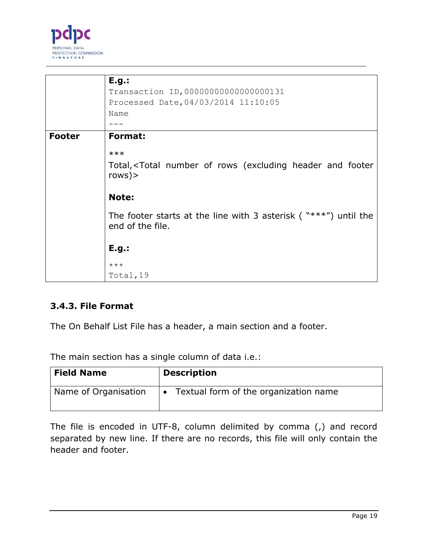

|               | E.g.:                                                                                           |
|---------------|-------------------------------------------------------------------------------------------------|
|               | Transaction ID, 00000000000000000131                                                            |
|               | Processed Date, 04/03/2014 11:10:05                                                             |
|               | Name                                                                                            |
|               |                                                                                                 |
| <b>Footer</b> | Format:                                                                                         |
|               | $***$                                                                                           |
|               | Total, <total (excluding="" and="" footer<br="" header="" number="" of="" rows="">rows)</total> |
|               | <b>Note:</b>                                                                                    |
|               | The footer starts at the line with 3 asterisk ( $***'$ ) until the<br>end of the file.          |
|               | E.g.:                                                                                           |
|               | $***$                                                                                           |
|               | Total, 19                                                                                       |

# <span id="page-18-0"></span>**3.4.3. File Format**

The On Behalf List File has a header, a main section and a footer.

The main section has a single column of data i.e.:

| <b>Field Name</b>    | <b>Description</b>                                 |
|----------------------|----------------------------------------------------|
| Name of Organisation | Textual form of the organization name<br>$\bullet$ |

The file is encoded in UTF-8, column delimited by comma (,) and record separated by new line. If there are no records, this file will only contain the header and footer.